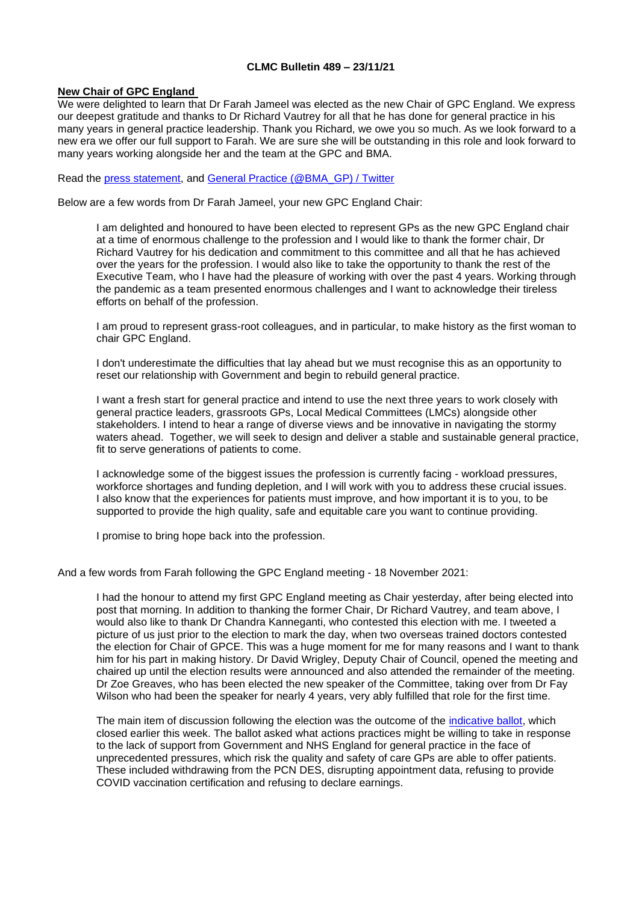## **CLMC Bulletin 489 – 23/11/21**

#### **New Chair of GPC England**

We were delighted to learn that Dr Farah Jameel was elected as the new Chair of GPC England. We express our deepest gratitude and thanks to Dr Richard Vautrey for all that he has done for general practice in his many years in general practice leadership. Thank you Richard, we owe you so much. As we look forward to a new era we offer our full support to Farah. We are sure she will be outstanding in this role and look forward to many years working alongside her and the team at the GPC and BMA.

Read the [press statement,](https://www.bma.org.uk/bma-media-centre/dr-farah-jameel-elected-chair-of-bma-s-england-gp-committee) and [General Practice \(@BMA\\_GP\) / Twitter](https://twitter.com/BMA_GP)

Below are a few words from Dr Farah Jameel, your new GPC England Chair:

I am delighted and honoured to have been elected to represent GPs as the new GPC England chair at a time of enormous challenge to the profession and I would like to thank the former chair, Dr Richard Vautrey for his dedication and commitment to this committee and all that he has achieved over the years for the profession. I would also like to take the opportunity to thank the rest of the Executive Team, who I have had the pleasure of working with over the past 4 years. Working through the pandemic as a team presented enormous challenges and I want to acknowledge their tireless efforts on behalf of the profession.

I am proud to represent grass-root colleagues, and in particular, to make history as the first woman to chair GPC England.

I don't underestimate the difficulties that lay ahead but we must recognise this as an opportunity to reset our relationship with Government and begin to rebuild general practice.

I want a fresh start for general practice and intend to use the next three years to work closely with general practice leaders, grassroots GPs, Local Medical Committees (LMCs) alongside other stakeholders. I intend to hear a range of diverse views and be innovative in navigating the stormy waters ahead. Together, we will seek to design and deliver a stable and sustainable general practice, fit to serve generations of patients to come.

I acknowledge some of the biggest issues the profession is currently facing - workload pressures, workforce shortages and funding depletion, and I will work with you to address these crucial issues. I also know that the experiences for patients must improve, and how important it is to you, to be supported to provide the high quality, safe and equitable care you want to continue providing.

I promise to bring hope back into the profession.

And a few words from Farah following the GPC England meeting - 18 November 2021:

I had the honour to attend my first GPC England meeting as Chair yesterday, after being elected into post that morning. In addition to thanking the former Chair, Dr Richard Vautrey, and team above, I would also like to thank Dr Chandra Kanneganti, who contested this election with me. I tweeted a picture of us just prior to the election to mark the day, when two overseas trained doctors contested the election for Chair of GPCE. This was a huge moment for me for many reasons and I want to thank him for his part in making history. Dr David Wrigley, Deputy Chair of Council, opened the meeting and chaired up until the election results were announced and also attended the remainder of the meeting. Dr Zoe Greaves, who has been elected the new speaker of the Committee, taking over from Dr Fay Wilson who had been the speaker for nearly 4 years, very ably fulfilled that role for the first time.

The main item of discussion following the election was the outcome of the [indicative ballot,](https://www.bma.org.uk/what-we-do/committees/general-practitioners-committee/england-general-practitioners-committee) which closed earlier this week. The ballot asked what actions practices might be willing to take in response to the lack of support from Government and NHS England for general practice in the face of unprecedented pressures, which risk the quality and safety of care GPs are able to offer patients. These included withdrawing from the PCN DES, disrupting appointment data, refusing to provide COVID vaccination certification and refusing to declare earnings.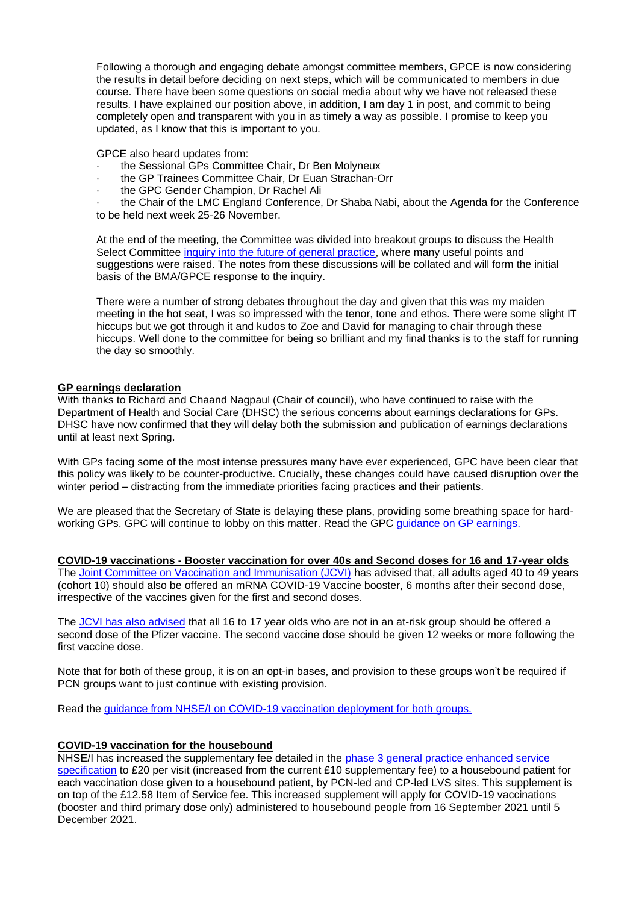Following a thorough and engaging debate amongst committee members, GPCE is now considering the results in detail before deciding on next steps, which will be communicated to members in due course. There have been some questions on social media about why we have not released these results. I have explained our position above, in addition, I am day 1 in post, and commit to being completely open and transparent with you in as timely a way as possible. I promise to keep you updated, as I know that this is important to you.

GPCE also heard updates from:

- · the Sessional GPs Committee Chair, Dr Ben Molyneux
- the GP Trainees Committee Chair, Dr Euan Strachan-Orr
- the GPC Gender Champion, Dr Rachel Ali

the Chair of the LMC England Conference, Dr Shaba Nabi, about the Agenda for the Conference to be held next week 25-26 November.

At the end of the meeting, the Committee was divided into breakout groups to discuss the Health Select Committee [inquiry into the future of general practice,](https://committees.parliament.uk/work/1624/) where many useful points and suggestions were raised. The notes from these discussions will be collated and will form the initial basis of the BMA/GPCE response to the inquiry.

There were a number of strong debates throughout the day and given that this was my maiden meeting in the hot seat, I was so impressed with the tenor, tone and ethos. There were some slight IT hiccups but we got through it and kudos to Zoe and David for managing to chair through these hiccups. Well done to the committee for being so brilliant and my final thanks is to the staff for running the day so smoothly.

## **GP earnings declaration**

With thanks to Richard and Chaand Nagpaul (Chair of council), who have continued to raise with the Department of Health and Social Care (DHSC) the serious concerns about earnings declarations for GPs. DHSC have now confirmed that they will delay both the submission and publication of earnings declarations until at least next Spring.

With GPs facing some of the most intense pressures many have ever experienced, GPC have been clear that this policy was likely to be counter-productive. Crucially, these changes could have caused disruption over the winter period – distracting from the immediate priorities facing practices and their patients.

We are pleased that the Secretary of State is delaying these plans, providing some breathing space for hardworking GPs. GPC will continue to lobby on this matter. Read the GPC [guidance on GP earnings.](https://www.bma.org.uk/pay-and-contracts/pay/other-doctors-pay/declaring-gp-earnings-over-150-000)

**COVID-19 vaccinations - Booster vaccination for over 40s and Second doses for 16 and 17-year olds** The [Joint Committee on Vaccination and Immunisation \(JCVI\)](https://www.gov.uk/government/news/jcvi-issues-advice-on-covid-19-booster-vaccines-for-those-aged-40-to-49-and-second-doses-for-16-to-17-year-olds) has advised that, all adults aged 40 to 49 years (cohort 10) should also be offered an mRNA COVID-19 Vaccine booster, 6 months after their second dose, irrespective of the vaccines given for the first and second doses.

The [JCVI has also advised](https://www.gov.uk/government/news/jcvi-issues-advice-on-covid-19-booster-vaccines-for-those-aged-40-to-49-and-second-doses-for-16-to-17-year-olds) that all 16 to 17 year olds who are not in an at-risk group should be offered a second dose of the Pfizer vaccine. The second vaccine dose should be given 12 weeks or more following the first vaccine dose.

Note that for both of these group, it is on an opt-in bases, and provision to these groups won't be required if PCN groups want to just continue with existing provision.

Read the [guidance from NHSE/I on COVID-19 vaccination deployment for both groups.](https://www.england.nhs.uk/coronavirus/publication/covid-19-vaccination-deployment-booster-vaccination-for-cohort-10-and-second-doses-for-16-and-17-year-olds/)

#### **COVID-19 vaccination for the housebound**

NHSE/I has increased the supplementary fee detailed in the [phase 3 general practice enhanced service](https://www.england.nhs.uk/coronavirus/wp-content/uploads/sites/52/2021/07/C1455-ess-phase-3-21-22-v4.pdf)  [specification](https://www.england.nhs.uk/coronavirus/wp-content/uploads/sites/52/2021/07/C1455-ess-phase-3-21-22-v4.pdf) to £20 per visit (increased from the current £10 supplementary fee) to a housebound patient for each vaccination dose given to a housebound patient, by PCN-led and CP-led LVS sites. This supplement is on top of the £12.58 Item of Service fee. This increased supplement will apply for COVID-19 vaccinations (booster and third primary dose only) administered to housebound people from 16 September 2021 until 5 December 2021.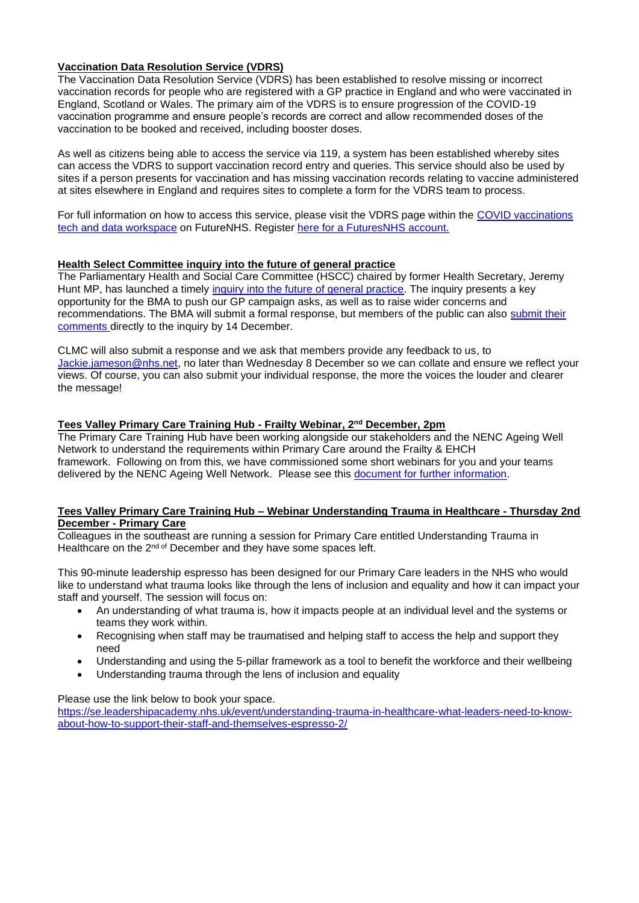## **Vaccination Data Resolution Service (VDRS)**

The Vaccination Data Resolution Service (VDRS) has been established to resolve missing or incorrect vaccination records for people who are registered with a GP practice in England and who were vaccinated in England, Scotland or Wales. The primary aim of the VDRS is to ensure progression of the COVID-19 vaccination programme and ensure people's records are correct and allow recommended doses of the vaccination to be booked and received, including booster doses.

As well as citizens being able to access the service via 119, a system has been established whereby sites can access the VDRS to support vaccination record entry and queries. This service should also be used by sites if a person presents for vaccination and has missing vaccination records relating to vaccine administered at sites elsewhere in England and requires sites to complete a form for the VDRS team to process.

For full information on how to access this service, please visit the VDRS page within the [COVID vaccinations](https://future.nhs.uk/connect.ti/CovidVaccinations/view?objectId=26835088)  [tech and data workspace](https://future.nhs.uk/connect.ti/CovidVaccinations/view?objectId=26835088) on FutureNHS. Register [here for a FuturesNHS account.](https://future.nhs.uk/)

## **Health Select Committee inquiry into the future of general practice**

The Parliamentary Health and Social Care Committee (HSCC) chaired by former Health Secretary, Jeremy Hunt MP, has launched a timely [inquiry into the future of general practice.](https://committees.parliament.uk/work/1624/) The inquiry presents a key opportunity for the BMA to push our GP campaign asks, as well as to raise wider concerns and recommendations. The BMA will submit a formal response, but members of the public can also [submit their](https://committees.parliament.uk/submission/#/evidence/632/preamble)  [comments](https://committees.parliament.uk/submission/#/evidence/632/preamble) directly to the inquiry by 14 December.

CLMC will also submit a response and we ask that members provide any feedback to us, to [Jackie.jameson@nhs.net,](mailto:Jackie.jameson@nhs.net) no later than Wednesday 8 December so we can collate and ensure we reflect your views. Of course, you can also submit your individual response, the more the voices the louder and clearer the message!

## **Tees Valley Primary Care Training Hub - Frailty Webinar, 2nd December, 2pm**

The Primary Care Training Hub have been working alongside our stakeholders and the NENC Ageing Well Network to understand the requirements within Primary Care around the Frailty & EHCH framework. Following on from this, we have commissioned some short webinars for you and your teams delivered by the NENC Ageing Well Network. Please see this [document for further information.](https://www.clevelandlmc.org.uk/website/IGP367/files/Blue%20Yellow%20Company%20Business%20Flyer.pdf)

## **Tees Valley Primary Care Training Hub – Webinar Understanding Trauma in Healthcare - Thursday 2nd December - Primary Care**

Colleagues in the southeast are running a session for Primary Care entitled Understanding Trauma in Healthcare on the 2<sup>nd of</sup> December and they have some spaces left.

This 90-minute leadership espresso has been designed for our Primary Care leaders in the NHS who would like to understand what trauma looks like through the lens of inclusion and equality and how it can impact your staff and yourself. The session will focus on:

- An understanding of what trauma is, how it impacts people at an individual level and the systems or teams they work within.
- Recognising when staff may be traumatised and helping staff to access the help and support they need
- Understanding and using the 5-pillar framework as a tool to benefit the workforce and their wellbeing
- Understanding trauma through the lens of inclusion and equality

#### Please use the link below to book your space.

[https://se.leadershipacademy.nhs.uk/event/understanding-trauma-in-healthcare-what-leaders-need-to-know](https://se.leadershipacademy.nhs.uk/event/understanding-trauma-in-healthcare-what-leaders-need-to-know-about-how-to-support-their-staff-and-themselves-espresso-2/)[about-how-to-support-their-staff-and-themselves-espresso-2/](https://se.leadershipacademy.nhs.uk/event/understanding-trauma-in-healthcare-what-leaders-need-to-know-about-how-to-support-their-staff-and-themselves-espresso-2/)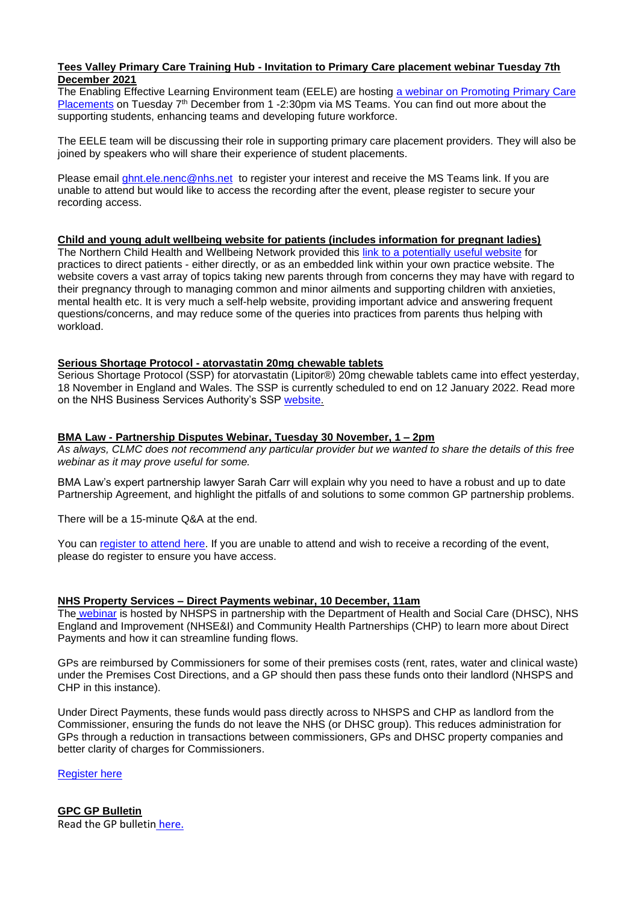## **Tees Valley Primary Care Training Hub - Invitation to Primary Care placement webinar Tuesday 7th December 2021**

The Enabling Effective Learning Environment team (EELE) are hosting a webinar on Promoting Primary Care [Placements](https://www.clevelandlmc.org.uk/website/IGP367/files/PowerPoint%20Presentation.pdf) on Tuesday 7<sup>th</sup> December from 1 -2:30pm via MS Teams. You can find out more about the supporting students, enhancing teams and developing future workforce.

The EELE team will be discussing their role in supporting primary care placement providers. They will also be joined by speakers who will share their experience of student placements.

Please email [ghnt.ele.nenc@nhs.net](mailto:ghnt.ele.nenc@nhs.net) to register your interest and receive the MS Teams link. If you are unable to attend but would like to access the recording after the event, please register to secure your recording access.

## **Child and young adult wellbeing website for patients (includes information for pregnant ladies)**

The Northern Child Health and Wellbeing Network provided this [link to a potentially useful website](https://what0-18.nhs.uk/) for practices to direct patients - either directly, or as an embedded link within your own practice website. The website covers a vast array of topics taking new parents through from concerns they may have with regard to their pregnancy through to managing common and minor ailments and supporting children with anxieties, mental health etc. It is very much a self-help website, providing important advice and answering frequent questions/concerns, and may reduce some of the queries into practices from parents thus helping with workload.

## **Serious Shortage Protocol - atorvastatin 20mg chewable tablets**

Serious Shortage Protocol (SSP) for atorvastatin (Lipitor®) 20mg chewable tablets came into effect yesterday, 18 November in England and Wales. The SSP is currently scheduled to end on 12 January 2022. Read more on the NHS Business Services Authority's SSP [website.](https://www.nhsbsa.nhs.uk/pharmacies-gp-practices-and-appliance-contractors/serious-shortage-protocols-ssps)

## **BMA Law - Partnership Disputes Webinar, Tuesday 30 November, 1 – 2pm**

*As always, CLMC does not recommend any particular provider but we wanted to share the details of this free webinar as it may prove useful for some.*

BMA Law's expert partnership lawyer Sarah Carr will explain why you need to have a robust and up to date Partnership Agreement, and highlight the pitfalls of and solutions to some common GP partnership problems.

There will be a 15-minute Q&A at the end.

You can register [to attend here.](https://register.gotowebinar.com/register/2668507443005531147?utm_campaign=1003900_Webinar%20Invitation%208%20-%20Partnership%20Disputes%20-%20November%2021&utm_medium=email&utm_source=BMA%20Law%20Limited&dm_i=4Q6Z,LIM4,FBUS2,2L59Z,1) If you are unable to attend and wish to receive a recording of the event, please do register to ensure you have access.

## **NHS Property Services – Direct Payments webinar, 10 December, 11am**

The [webinar](https://f8b421b3760c4f9da61d0d473129f231.svc.dynamics.com/t/t/ACVWDG7Cvg4Q0t8yBwakcTfpDlSRnk4675gtqlo6yKgx/Dfv2AFP4Id8orxgIcqV7AQ06ibWbfZP3KHdVRrgF71cx) is hosted by NHSPS in partnership with the Department of Health and Social Care (DHSC), NHS England and Improvement (NHSE&I) and Community Health Partnerships (CHP) to learn more about Direct Payments and how it can streamline funding flows.

GPs are reimbursed by Commissioners for some of their premises costs (rent, rates, water and clinical waste) under the Premises Cost Directions, and a GP should then pass these funds onto their landlord (NHSPS and CHP in this instance).

Under Direct Payments, these funds would pass directly across to NHSPS and CHP as landlord from the Commissioner, ensuring the funds do not leave the NHS (or DHSC group). This reduces administration for GPs through a reduction in transactions between commissioners, GPs and DHSC property companies and better clarity of charges for Commissioners.

[Register here](https://www.property.nhs.uk/news-insight/webinars/register-now-direct-payments-webinar/?utm_source=dynamics&utm_medium=email&utm_campaign=2111_directpayments-invite#msdynttrid=xpAZOy82bwUOE47jcNyFbvj3vTDFsLTgRDECKit9Ldg)

**GPC GP Bulletin** Read the GP bulletin [here.](https://bma-mail.org.uk/t/JVX-7MI3B-EC5E0CEA0D8A5317JCJOU4BA186991484320BE/cr.aspx)